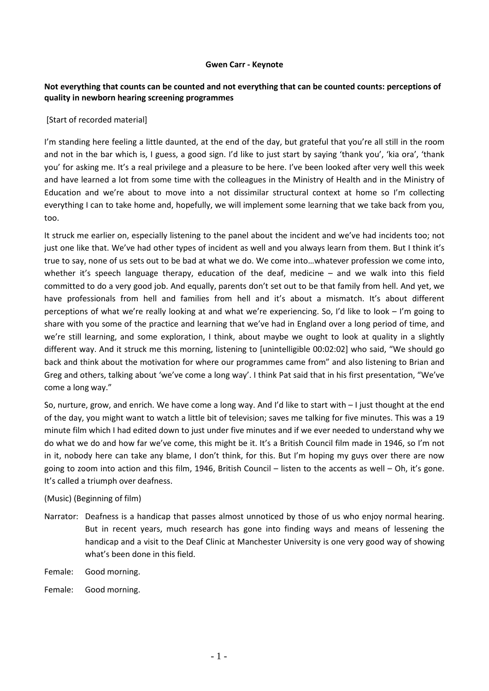## **Gwen Carr - Keynote**

## **Not everything that counts can be counted and not everything that can be counted counts: perceptions of quality in newborn hearing screening programmes**

## [Start of recorded material]

I'm standing here feeling a little daunted, at the end of the day, but grateful that you're all still in the room and not in the bar which is, I guess, a good sign. I'd like to just start by saying 'thank you', 'kia ora', 'thank you' for asking me. It's a real privilege and a pleasure to be here. I've been looked after very well this week and have learned a lot from some time with the colleagues in the Ministry of Health and in the Ministry of Education and we're about to move into a not dissimilar structural context at home so I'm collecting everything I can to take home and, hopefully, we will implement some learning that we take back from you, too.

It struck me earlier on, especially listening to the panel about the incident and we've had incidents too; not just one like that. We've had other types of incident as well and you always learn from them. But I think it's true to say, none of us sets out to be bad at what we do. We come into…whatever profession we come into, whether it's speech language therapy, education of the deaf, medicine – and we walk into this field committed to do a very good job. And equally, parents don't set out to be that family from hell. And yet, we have professionals from hell and families from hell and it's about a mismatch. It's about different perceptions of what we're really looking at and what we're experiencing. So, I'd like to look – I'm going to share with you some of the practice and learning that we've had in England over a long period of time, and we're still learning, and some exploration, I think, about maybe we ought to look at quality in a slightly different way. And it struck me this morning, listening to [unintelligible 00:02:02] who said, "We should go back and think about the motivation for where our programmes came from" and also listening to Brian and Greg and others, talking about 'we've come a long way'. I think Pat said that in his first presentation, "We've come a long way."

So, nurture, grow, and enrich. We have come a long way. And I'd like to start with – I just thought at the end of the day, you might want to watch a little bit of television; saves me talking for five minutes. This was a 19 minute film which I had edited down to just under five minutes and if we ever needed to understand why we do what we do and how far we've come, this might be it. It's a British Council film made in 1946, so I'm not in it, nobody here can take any blame, I don't think, for this. But I'm hoping my guys over there are now going to zoom into action and this film, 1946, British Council – listen to the accents as well – Oh, it's gone. It's called a triumph over deafness.

## (Music) (Beginning of film)

- Narrator: Deafness is a handicap that passes almost unnoticed by those of us who enjoy normal hearing. But in recent years, much research has gone into finding ways and means of lessening the handicap and a visit to the Deaf Clinic at Manchester University is one very good way of showing what's been done in this field.
- Female: Good morning.
- Female: Good morning.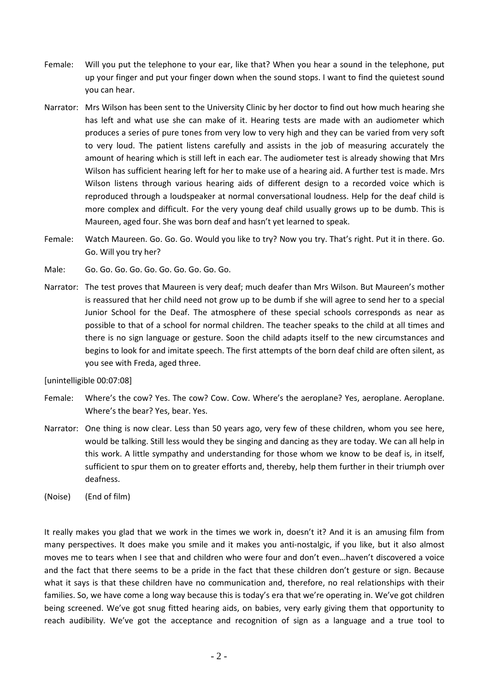- Female: Will you put the telephone to your ear, like that? When you hear a sound in the telephone, put up your finger and put your finger down when the sound stops. I want to find the quietest sound you can hear.
- Narrator: Mrs Wilson has been sent to the University Clinic by her doctor to find out how much hearing she has left and what use she can make of it. Hearing tests are made with an audiometer which produces a series of pure tones from very low to very high and they can be varied from very soft to very loud. The patient listens carefully and assists in the job of measuring accurately the amount of hearing which is still left in each ear. The audiometer test is already showing that Mrs Wilson has sufficient hearing left for her to make use of a hearing aid. A further test is made. Mrs Wilson listens through various hearing aids of different design to a recorded voice which is reproduced through a loudspeaker at normal conversational loudness. Help for the deaf child is more complex and difficult. For the very young deaf child usually grows up to be dumb. This is Maureen, aged four. She was born deaf and hasn't yet learned to speak.
- Female: Watch Maureen. Go. Go. Go. Would you like to try? Now you try. That's right. Put it in there. Go. Go. Will you try her?
- Male: Go. Go. Go. Go. Go. Go. Go. Go. Go. Go.
- Narrator: The test proves that Maureen is very deaf; much deafer than Mrs Wilson. But Maureen's mother is reassured that her child need not grow up to be dumb if she will agree to send her to a special Junior School for the Deaf. The atmosphere of these special schools corresponds as near as possible to that of a school for normal children. The teacher speaks to the child at all times and there is no sign language or gesture. Soon the child adapts itself to the new circumstances and begins to look for and imitate speech. The first attempts of the born deaf child are often silent, as you see with Freda, aged three.

[unintelligible 00:07:08]

- Female: Where's the cow? Yes. The cow? Cow. Cow. Where's the aeroplane? Yes, aeroplane. Aeroplane. Where's the bear? Yes, bear. Yes.
- Narrator: One thing is now clear. Less than 50 years ago, very few of these children, whom you see here, would be talking. Still less would they be singing and dancing as they are today. We can all help in this work. A little sympathy and understanding for those whom we know to be deaf is, in itself, sufficient to spur them on to greater efforts and, thereby, help them further in their triumph over deafness.
- (Noise) (End of film)

It really makes you glad that we work in the times we work in, doesn't it? And it is an amusing film from many perspectives. It does make you smile and it makes you anti-nostalgic, if you like, but it also almost moves me to tears when I see that and children who were four and don't even…haven't discovered a voice and the fact that there seems to be a pride in the fact that these children don't gesture or sign. Because what it says is that these children have no communication and, therefore, no real relationships with their families. So, we have come a long way because this is today's era that we're operating in. We've got children being screened. We've got snug fitted hearing aids, on babies, very early giving them that opportunity to reach audibility. We've got the acceptance and recognition of sign as a language and a true tool to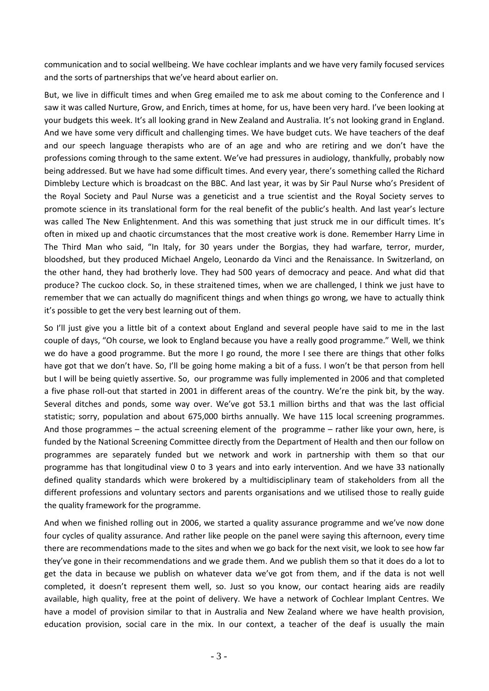communication and to social wellbeing. We have cochlear implants and we have very family focused services and the sorts of partnerships that we've heard about earlier on.

But, we live in difficult times and when Greg emailed me to ask me about coming to the Conference and I saw it was called Nurture, Grow, and Enrich, times at home, for us, have been very hard. I've been looking at your budgets this week. It's all looking grand in New Zealand and Australia. It's not looking grand in England. And we have some very difficult and challenging times. We have budget cuts. We have teachers of the deaf and our speech language therapists who are of an age and who are retiring and we don't have the professions coming through to the same extent. We've had pressures in audiology, thankfully, probably now being addressed. But we have had some difficult times. And every year, there's something called the Richard Dimbleby Lecture which is broadcast on the BBC. And last year, it was by Sir Paul Nurse who's President of the Royal Society and Paul Nurse was a geneticist and a true scientist and the Royal Society serves to promote science in its translational form for the real benefit of the public's health. And last year's lecture was called The New Enlightenment. And this was something that just struck me in our difficult times. It's often in mixed up and chaotic circumstances that the most creative work is done. Remember Harry Lime in The Third Man who said, "In Italy, for 30 years under the Borgias, they had warfare, terror, murder, bloodshed, but they produced Michael Angelo, Leonardo da Vinci and the Renaissance. In Switzerland, on the other hand, they had brotherly love. They had 500 years of democracy and peace. And what did that produce? The cuckoo clock. So, in these straitened times, when we are challenged, I think we just have to remember that we can actually do magnificent things and when things go wrong, we have to actually think it's possible to get the very best learning out of them.

So I'll just give you a little bit of a context about England and several people have said to me in the last couple of days, "Oh course, we look to England because you have a really good programme." Well, we think we do have a good programme. But the more I go round, the more I see there are things that other folks have got that we don't have. So, I'll be going home making a bit of a fuss. I won't be that person from hell but I will be being quietly assertive. So, our programme was fully implemented in 2006 and that completed a five phase roll-out that started in 2001 in different areas of the country. We're the pink bit, by the way. Several ditches and ponds, some way over. We've got 53.1 million births and that was the last official statistic; sorry, population and about 675,000 births annually. We have 115 local screening programmes. And those programmes – the actual screening element of the programme – rather like your own, here, is funded by the National Screening Committee directly from the Department of Health and then our follow on programmes are separately funded but we network and work in partnership with them so that our programme has that longitudinal view 0 to 3 years and into early intervention. And we have 33 nationally defined quality standards which were brokered by a multidisciplinary team of stakeholders from all the different professions and voluntary sectors and parents organisations and we utilised those to really guide the quality framework for the programme.

And when we finished rolling out in 2006, we started a quality assurance programme and we've now done four cycles of quality assurance. And rather like people on the panel were saying this afternoon, every time there are recommendations made to the sites and when we go back for the next visit, we look to see how far they've gone in their recommendations and we grade them. And we publish them so that it does do a lot to get the data in because we publish on whatever data we've got from them, and if the data is not well completed, it doesn't represent them well, so. Just so you know, our contact hearing aids are readily available, high quality, free at the point of delivery. We have a network of Cochlear Implant Centres. We have a model of provision similar to that in Australia and New Zealand where we have health provision, education provision, social care in the mix. In our context, a teacher of the deaf is usually the main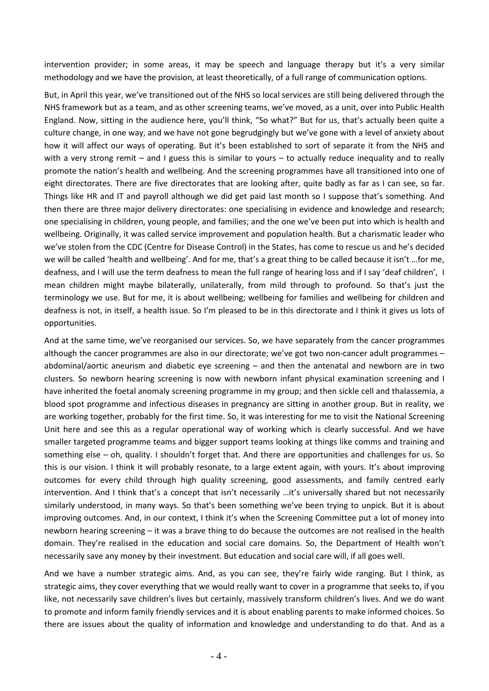intervention provider; in some areas, it may be speech and language therapy but it's a very similar methodology and we have the provision, at least theoretically, of a full range of communication options.

But, in April this year, we've transitioned out of the NHS so local services are still being delivered through the NHS framework but as a team, and as other screening teams, we've moved, as a unit, over into Public Health England. Now, sitting in the audience here, you'll think, "So what?" But for us, that's actually been quite a culture change, in one way, and we have not gone begrudgingly but we've gone with a level of anxiety about how it will affect our ways of operating. But it's been established to sort of separate it from the NHS and with a very strong remit – and I guess this is similar to yours – to actually reduce inequality and to really promote the nation's health and wellbeing. And the screening programmes have all transitioned into one of eight directorates. There are five directorates that are looking after, quite badly as far as I can see, so far. Things like HR and IT and payroll although we did get paid last month so I suppose that's something. And then there are three major delivery directorates: one specialising in evidence and knowledge and research; one specialising in children, young people, and families; and the one we've been put into which is health and wellbeing. Originally, it was called service improvement and population health. But a charismatic leader who we've stolen from the CDC (Centre for Disease Control) in the States, has come to rescue us and he's decided we will be called 'health and wellbeing'. And for me, that's a great thing to be called because it isn't …for me, deafness, and I will use the term deafness to mean the full range of hearing loss and if I say 'deaf children', I mean children might maybe bilaterally, unilaterally, from mild through to profound. So that's just the terminology we use. But for me, it is about wellbeing; wellbeing for families and wellbeing for children and deafness is not, in itself, a health issue. So I'm pleased to be in this directorate and I think it gives us lots of opportunities.

And at the same time, we've reorganised our services. So, we have separately from the cancer programmes although the cancer programmes are also in our directorate; we've got two non-cancer adult programmes – abdominal/aortic aneurism and diabetic eye screening – and then the antenatal and newborn are in two clusters. So newborn hearing screening is now with newborn infant physical examination screening and I have inherited the foetal anomaly screening programme in my group; and then sickle cell and thalassemia, a blood spot programme and infectious diseases in pregnancy are sitting in another group. But in reality, we are working together, probably for the first time. So, it was interesting for me to visit the National Screening Unit here and see this as a regular operational way of working which is clearly successful. And we have smaller targeted programme teams and bigger support teams looking at things like comms and training and something else – oh, quality. I shouldn't forget that. And there are opportunities and challenges for us. So this is our vision. I think it will probably resonate, to a large extent again, with yours. It's about improving outcomes for every child through high quality screening, good assessments, and family centred early intervention. And I think that's a concept that isn't necessarily …it's universally shared but not necessarily similarly understood, in many ways. So that's been something we've been trying to unpick. But it is about improving outcomes. And, in our context, I think it's when the Screening Committee put a lot of money into newborn hearing screening – it was a brave thing to do because the outcomes are not realised in the health domain. They're realised in the education and social care domains. So, the Department of Health won't necessarily save any money by their investment. But education and social care will, if all goes well.

And we have a number strategic aims. And, as you can see, they're fairly wide ranging. But I think, as strategic aims, they cover everything that we would really want to cover in a programme that seeks to, if you like, not necessarily save children's lives but certainly, massively transform children's lives. And we do want to promote and inform family friendly services and it is about enabling parents to make informed choices. So there are issues about the quality of information and knowledge and understanding to do that. And as a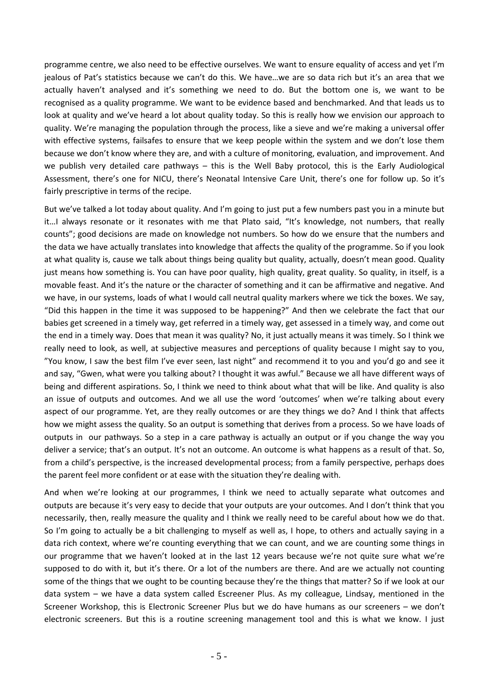programme centre, we also need to be effective ourselves. We want to ensure equality of access and yet I'm jealous of Pat's statistics because we can't do this. We have…we are so data rich but it's an area that we actually haven't analysed and it's something we need to do. But the bottom one is, we want to be recognised as a quality programme. We want to be evidence based and benchmarked. And that leads us to look at quality and we've heard a lot about quality today. So this is really how we envision our approach to quality. We're managing the population through the process, like a sieve and we're making a universal offer with effective systems, failsafes to ensure that we keep people within the system and we don't lose them because we don't know where they are, and with a culture of monitoring, evaluation, and improvement. And we publish very detailed care pathways – this is the Well Baby protocol, this is the Early Audiological Assessment, there's one for NICU, there's Neonatal Intensive Care Unit, there's one for follow up. So it's fairly prescriptive in terms of the recipe.

But we've talked a lot today about quality. And I'm going to just put a few numbers past you in a minute but it…I always resonate or it resonates with me that Plato said, "It's knowledge, not numbers, that really counts"; good decisions are made on knowledge not numbers. So how do we ensure that the numbers and the data we have actually translates into knowledge that affects the quality of the programme. So if you look at what quality is, cause we talk about things being quality but quality, actually, doesn't mean good. Quality just means how something is. You can have poor quality, high quality, great quality. So quality, in itself, is a movable feast. And it's the nature or the character of something and it can be affirmative and negative. And we have, in our systems, loads of what I would call neutral quality markers where we tick the boxes. We say, "Did this happen in the time it was supposed to be happening?" And then we celebrate the fact that our babies get screened in a timely way, get referred in a timely way, get assessed in a timely way, and come out the end in a timely way. Does that mean it was quality? No, it just actually means it was timely. So I think we really need to look, as well, at subjective measures and perceptions of quality because I might say to you, "You know, I saw the best film I've ever seen, last night" and recommend it to you and you'd go and see it and say, "Gwen, what were you talking about? I thought it was awful." Because we all have different ways of being and different aspirations. So, I think we need to think about what that will be like. And quality is also an issue of outputs and outcomes. And we all use the word 'outcomes' when we're talking about every aspect of our programme. Yet, are they really outcomes or are they things we do? And I think that affects how we might assess the quality. So an output is something that derives from a process. So we have loads of outputs in our pathways. So a step in a care pathway is actually an output or if you change the way you deliver a service; that's an output. It's not an outcome. An outcome is what happens as a result of that. So, from a child's perspective, is the increased developmental process; from a family perspective, perhaps does the parent feel more confident or at ease with the situation they're dealing with.

And when we're looking at our programmes, I think we need to actually separate what outcomes and outputs are because it's very easy to decide that your outputs are your outcomes. And I don't think that you necessarily, then, really measure the quality and I think we really need to be careful about how we do that. So I'm going to actually be a bit challenging to myself as well as, I hope, to others and actually saying in a data rich context, where we're counting everything that we can count, and we are counting some things in our programme that we haven't looked at in the last 12 years because we're not quite sure what we're supposed to do with it, but it's there. Or a lot of the numbers are there. And are we actually not counting some of the things that we ought to be counting because they're the things that matter? So if we look at our data system – we have a data system called Escreener Plus. As my colleague, Lindsay, mentioned in the Screener Workshop, this is Electronic Screener Plus but we do have humans as our screeners – we don't electronic screeners. But this is a routine screening management tool and this is what we know. I just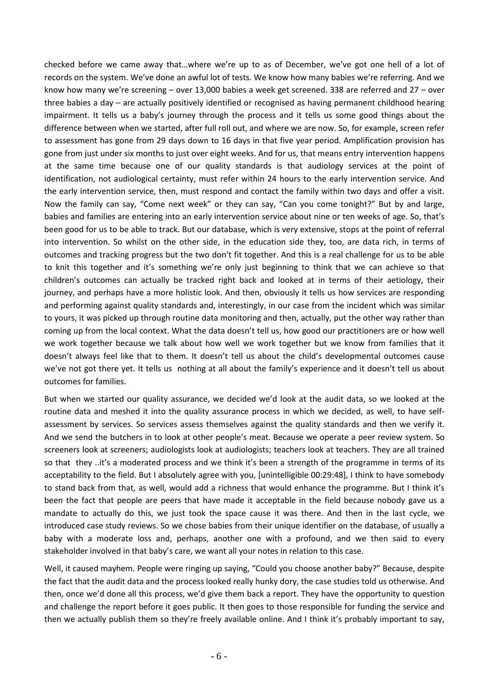checked before we came away that…where we're up to as of December, we've got one hell of a lot of records on the system. We've done an awful lot of tests. We know how many babies we're referring. And we know how many we're screening – over 13,000 babies a week get screened. 338 are referred and 27 – over three babies a day – are actually positively identified or recognised as having permanent childhood hearing impairment. It tells us a baby's journey through the process and it tells us some good things about the difference between when we started, after full roll out, and where we are now. So, for example, screen refer to assessment has gone from 29 days down to 16 days in that five year period. Amplification provision has gone from just under six months to just over eight weeks. And for us, that means entry intervention happens at the same time because one of our quality standards is that audiology services at the point of identification, not audiological certainty, must refer within 24 hours to the early intervention service. And the early intervention service, then, must respond and contact the family within two days and offer a visit. Now the family can say, "Come next week" or they can say, "Can you come tonight?" But by and large, babies and families are entering into an early intervention service about nine or ten weeks of age. So, that's been good for us to be able to track. But our database, which is very extensive, stops at the point of referral into intervention. So whilst on the other side, in the education side they, too, are data rich, in terms of outcomes and tracking progress but the two don't fit together. And this is a real challenge for us to be able to knit this together and it's something we're only just beginning to think that we can achieve so that children's outcomes can actually be tracked right back and looked at in terms of their aetiology, their journey, and perhaps have a more holistic look. And then, obviously it tells us how services are responding and performing against quality standards and, interestingly, in our case from the incident which was similar to yours, it was picked up through routine data monitoring and then, actually, put the other way rather than coming up from the local context. What the data doesn't tell us, how good our practitioners are or how well we work together because we talk about how well we work together but we know from families that it doesn't always feel like that to them. It doesn't tell us about the child's developmental outcomes cause we've not got there yet. It tells us nothing at all about the family's experience and it doesn't tell us about outcomes for families.

But when we started our quality assurance, we decided we'd look at the audit data, so we looked at the routine data and meshed it into the quality assurance process in which we decided, as well, to have selfassessment by services. So services assess themselves against the quality standards and then we verify it. And we send the butchers in to look at other people's meat. Because we operate a peer review system. So screeners look at screeners; audiologists look at audiologists; teachers look at teachers. They are all trained so that they ..it's a moderated process and we think it's been a strength of the programme in terms of its acceptability to the field. But I absolutely agree with you, [unintelligible 00:29:48], I think to have somebody to stand back from that, as well, would add a richness that would enhance the programme. But I think it's been the fact that people are peers that have made it acceptable in the field because nobody gave us a mandate to actually do this, we just took the space cause it was there. And then in the last cycle, we introduced case study reviews. So we chose babies from their unique identifier on the database, of usually a baby with a moderate loss and, perhaps, another one with a profound, and we then said to every stakeholder involved in that baby's care, we want all your notes in relation to this case.

Well, it caused mayhem. People were ringing up saying, "Could you choose another baby?" Because, despite the fact that the audit data and the process looked really hunky dory, the case studies told us otherwise. And then, once we'd done all this process, we'd give them back a report. They have the opportunity to question and challenge the report before it goes public. It then goes to those responsible for funding the service and then we actually publish them so they're freely available online. And I think it's probably important to say,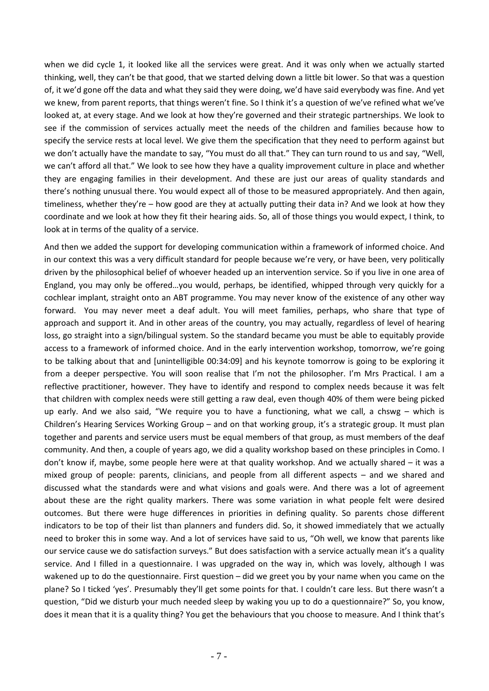when we did cycle 1, it looked like all the services were great. And it was only when we actually started thinking, well, they can't be that good, that we started delving down a little bit lower. So that was a question of, it we'd gone off the data and what they said they were doing, we'd have said everybody was fine. And yet we knew, from parent reports, that things weren't fine. So I think it's a question of we've refined what we've looked at, at every stage. And we look at how they're governed and their strategic partnerships. We look to see if the commission of services actually meet the needs of the children and families because how to specify the service rests at local level. We give them the specification that they need to perform against but we don't actually have the mandate to say, "You must do all that." They can turn round to us and say, "Well, we can't afford all that." We look to see how they have a quality improvement culture in place and whether they are engaging families in their development. And these are just our areas of quality standards and there's nothing unusual there. You would expect all of those to be measured appropriately. And then again, timeliness, whether they're – how good are they at actually putting their data in? And we look at how they coordinate and we look at how they fit their hearing aids. So, all of those things you would expect, I think, to look at in terms of the quality of a service.

And then we added the support for developing communication within a framework of informed choice. And in our context this was a very difficult standard for people because we're very, or have been, very politically driven by the philosophical belief of whoever headed up an intervention service. So if you live in one area of England, you may only be offered…you would, perhaps, be identified, whipped through very quickly for a cochlear implant, straight onto an ABT programme. You may never know of the existence of any other way forward. You may never meet a deaf adult. You will meet families, perhaps, who share that type of approach and support it. And in other areas of the country, you may actually, regardless of level of hearing loss, go straight into a sign/bilingual system. So the standard became you must be able to equitably provide access to a framework of informed choice. And in the early intervention workshop, tomorrow, we're going to be talking about that and [unintelligible 00:34:09] and his keynote tomorrow is going to be exploring it from a deeper perspective. You will soon realise that I'm not the philosopher. I'm Mrs Practical. I am a reflective practitioner, however. They have to identify and respond to complex needs because it was felt that children with complex needs were still getting a raw deal, even though 40% of them were being picked up early. And we also said, "We require you to have a functioning, what we call, a chswg – which is Children's Hearing Services Working Group – and on that working group, it's a strategic group. It must plan together and parents and service users must be equal members of that group, as must members of the deaf community. And then, a couple of years ago, we did a quality workshop based on these principles in Como. I don't know if, maybe, some people here were at that quality workshop. And we actually shared – it was a mixed group of people: parents, clinicians, and people from all different aspects – and we shared and discussed what the standards were and what visions and goals were. And there was a lot of agreement about these are the right quality markers. There was some variation in what people felt were desired outcomes. But there were huge differences in priorities in defining quality. So parents chose different indicators to be top of their list than planners and funders did. So, it showed immediately that we actually need to broker this in some way. And a lot of services have said to us, "Oh well, we know that parents like our service cause we do satisfaction surveys." But does satisfaction with a service actually mean it's a quality service. And I filled in a questionnaire. I was upgraded on the way in, which was lovely, although I was wakened up to do the questionnaire. First question – did we greet you by your name when you came on the plane? So I ticked 'yes'. Presumably they'll get some points for that. I couldn't care less. But there wasn't a question, "Did we disturb your much needed sleep by waking you up to do a questionnaire?" So, you know, does it mean that it is a quality thing? You get the behaviours that you choose to measure. And I think that's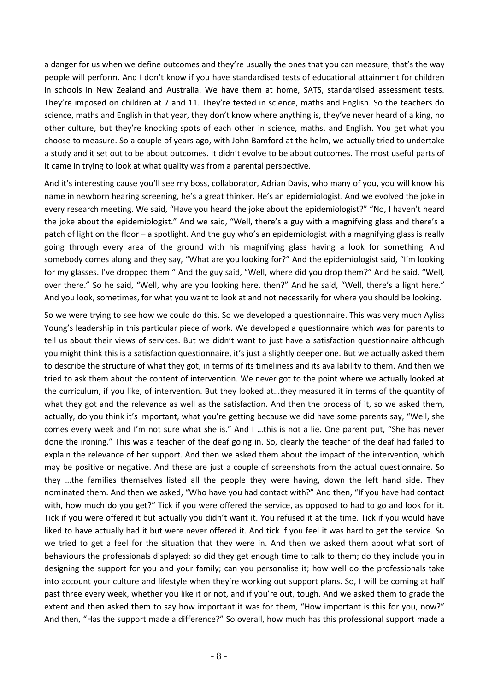a danger for us when we define outcomes and they're usually the ones that you can measure, that's the way people will perform. And I don't know if you have standardised tests of educational attainment for children in schools in New Zealand and Australia. We have them at home, SATS, standardised assessment tests. They're imposed on children at 7 and 11. They're tested in science, maths and English. So the teachers do science, maths and English in that year, they don't know where anything is, they've never heard of a king, no other culture, but they're knocking spots of each other in science, maths, and English. You get what you choose to measure. So a couple of years ago, with John Bamford at the helm, we actually tried to undertake a study and it set out to be about outcomes. It didn't evolve to be about outcomes. The most useful parts of it came in trying to look at what quality was from a parental perspective.

And it's interesting cause you'll see my boss, collaborator, Adrian Davis, who many of you, you will know his name in newborn hearing screening, he's a great thinker. He's an epidemiologist. And we evolved the joke in every research meeting. We said, "Have you heard the joke about the epidemiologist?" "No, I haven't heard the joke about the epidemiologist." And we said, "Well, there's a guy with a magnifying glass and there's a patch of light on the floor – a spotlight. And the guy who's an epidemiologist with a magnifying glass is really going through every area of the ground with his magnifying glass having a look for something. And somebody comes along and they say, "What are you looking for?" And the epidemiologist said, "I'm looking for my glasses. I've dropped them." And the guy said, "Well, where did you drop them?" And he said, "Well, over there." So he said, "Well, why are you looking here, then?" And he said, "Well, there's a light here." And you look, sometimes, for what you want to look at and not necessarily for where you should be looking.

So we were trying to see how we could do this. So we developed a questionnaire. This was very much Ayliss Young's leadership in this particular piece of work. We developed a questionnaire which was for parents to tell us about their views of services. But we didn't want to just have a satisfaction questionnaire although you might think this is a satisfaction questionnaire, it's just a slightly deeper one. But we actually asked them to describe the structure of what they got, in terms of its timeliness and its availability to them. And then we tried to ask them about the content of intervention. We never got to the point where we actually looked at the curriculum, if you like, of intervention. But they looked at…they measured it in terms of the quantity of what they got and the relevance as well as the satisfaction. And then the process of it, so we asked them, actually, do you think it's important, what you're getting because we did have some parents say, "Well, she comes every week and I'm not sure what she is." And I …this is not a lie. One parent put, "She has never done the ironing." This was a teacher of the deaf going in. So, clearly the teacher of the deaf had failed to explain the relevance of her support. And then we asked them about the impact of the intervention, which may be positive or negative. And these are just a couple of screenshots from the actual questionnaire. So they …the families themselves listed all the people they were having, down the left hand side. They nominated them. And then we asked, "Who have you had contact with?" And then, "If you have had contact with, how much do you get?" Tick if you were offered the service, as opposed to had to go and look for it. Tick if you were offered it but actually you didn't want it. You refused it at the time. Tick if you would have liked to have actually had it but were never offered it. And tick if you feel it was hard to get the service. So we tried to get a feel for the situation that they were in. And then we asked them about what sort of behaviours the professionals displayed: so did they get enough time to talk to them; do they include you in designing the support for you and your family; can you personalise it; how well do the professionals take into account your culture and lifestyle when they're working out support plans. So, I will be coming at half past three every week, whether you like it or not, and if you're out, tough. And we asked them to grade the extent and then asked them to say how important it was for them, "How important is this for you, now?" And then, "Has the support made a difference?" So overall, how much has this professional support made a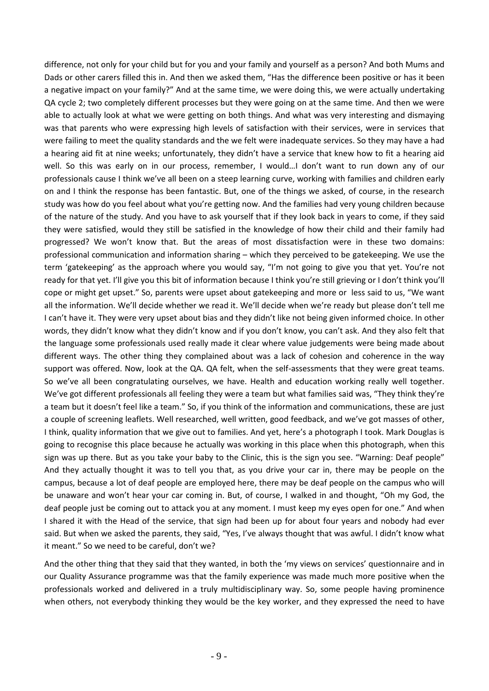difference, not only for your child but for you and your family and yourself as a person? And both Mums and Dads or other carers filled this in. And then we asked them, "Has the difference been positive or has it been a negative impact on your family?" And at the same time, we were doing this, we were actually undertaking QA cycle 2; two completely different processes but they were going on at the same time. And then we were able to actually look at what we were getting on both things. And what was very interesting and dismaying was that parents who were expressing high levels of satisfaction with their services, were in services that were failing to meet the quality standards and the we felt were inadequate services. So they may have a had a hearing aid fit at nine weeks; unfortunately, they didn't have a service that knew how to fit a hearing aid well. So this was early on in our process, remember, I would…I don't want to run down any of our professionals cause I think we've all been on a steep learning curve, working with families and children early on and I think the response has been fantastic. But, one of the things we asked, of course, in the research study was how do you feel about what you're getting now. And the families had very young children because of the nature of the study. And you have to ask yourself that if they look back in years to come, if they said they were satisfied, would they still be satisfied in the knowledge of how their child and their family had progressed? We won't know that. But the areas of most dissatisfaction were in these two domains: professional communication and information sharing – which they perceived to be gatekeeping. We use the term 'gatekeeping' as the approach where you would say, "I'm not going to give you that yet. You're not ready for that yet. I'll give you this bit of information because I think you're still grieving or I don't think you'll cope or might get upset." So, parents were upset about gatekeeping and more or less said to us, "We want all the information. We'll decide whether we read it. We'll decide when we're ready but please don't tell me I can't have it. They were very upset about bias and they didn't like not being given informed choice. In other words, they didn't know what they didn't know and if you don't know, you can't ask. And they also felt that the language some professionals used really made it clear where value judgements were being made about different ways. The other thing they complained about was a lack of cohesion and coherence in the way support was offered. Now, look at the QA. QA felt, when the self-assessments that they were great teams. So we've all been congratulating ourselves, we have. Health and education working really well together. We've got different professionals all feeling they were a team but what families said was, "They think they're a team but it doesn't feel like a team." So, if you think of the information and communications, these are just a couple of screening leaflets. Well researched, well written, good feedback, and we've got masses of other, I think, quality information that we give out to families. And yet, here's a photograph I took. Mark Douglas is going to recognise this place because he actually was working in this place when this photograph, when this sign was up there. But as you take your baby to the Clinic, this is the sign you see. "Warning: Deaf people" And they actually thought it was to tell you that, as you drive your car in, there may be people on the campus, because a lot of deaf people are employed here, there may be deaf people on the campus who will be unaware and won't hear your car coming in. But, of course, I walked in and thought, "Oh my God, the deaf people just be coming out to attack you at any moment. I must keep my eyes open for one." And when I shared it with the Head of the service, that sign had been up for about four years and nobody had ever said. But when we asked the parents, they said, "Yes, I've always thought that was awful. I didn't know what it meant." So we need to be careful, don't we?

And the other thing that they said that they wanted, in both the 'my views on services' questionnaire and in our Quality Assurance programme was that the family experience was made much more positive when the professionals worked and delivered in a truly multidisciplinary way. So, some people having prominence when others, not everybody thinking they would be the key worker, and they expressed the need to have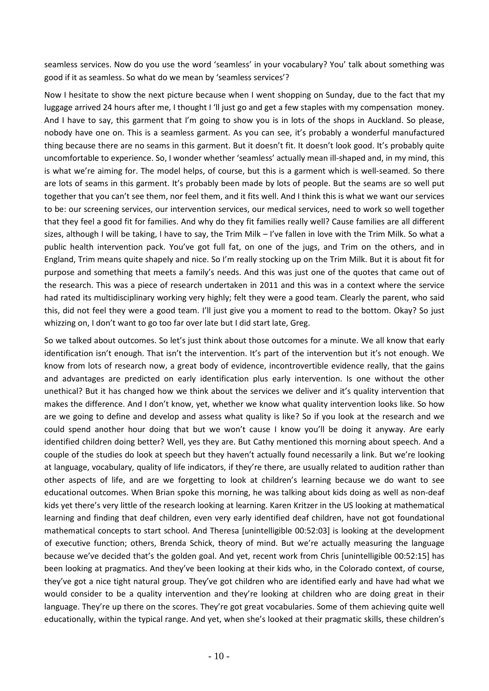seamless services. Now do you use the word 'seamless' in your vocabulary? You' talk about something was good if it as seamless. So what do we mean by 'seamless services'?

Now I hesitate to show the next picture because when I went shopping on Sunday, due to the fact that my luggage arrived 24 hours after me, I thought I 'll just go and get a few staples with my compensation money. And I have to say, this garment that I'm going to show you is in lots of the shops in Auckland. So please, nobody have one on. This is a seamless garment. As you can see, it's probably a wonderful manufactured thing because there are no seams in this garment. But it doesn't fit. It doesn't look good. It's probably quite uncomfortable to experience. So, I wonder whether 'seamless' actually mean ill-shaped and, in my mind, this is what we're aiming for. The model helps, of course, but this is a garment which is well-seamed. So there are lots of seams in this garment. It's probably been made by lots of people. But the seams are so well put together that you can't see them, nor feel them, and it fits well. And I think this is what we want our services to be: our screening services, our intervention services, our medical services, need to work so well together that they feel a good fit for families. And why do they fit families really well? Cause families are all different sizes, although I will be taking, I have to say, the Trim Milk – I've fallen in love with the Trim Milk. So what a public health intervention pack. You've got full fat, on one of the jugs, and Trim on the others, and in England, Trim means quite shapely and nice. So I'm really stocking up on the Trim Milk. But it is about fit for purpose and something that meets a family's needs. And this was just one of the quotes that came out of the research. This was a piece of research undertaken in 2011 and this was in a context where the service had rated its multidisciplinary working very highly; felt they were a good team. Clearly the parent, who said this, did not feel they were a good team. I'll just give you a moment to read to the bottom. Okay? So just whizzing on, I don't want to go too far over late but I did start late, Greg.

So we talked about outcomes. So let's just think about those outcomes for a minute. We all know that early identification isn't enough. That isn't the intervention. It's part of the intervention but it's not enough. We know from lots of research now, a great body of evidence, incontrovertible evidence really, that the gains and advantages are predicted on early identification plus early intervention. Is one without the other unethical? But it has changed how we think about the services we deliver and it's quality intervention that makes the difference. And I don't know, yet, whether we know what quality intervention looks like. So how are we going to define and develop and assess what quality is like? So if you look at the research and we could spend another hour doing that but we won't cause I know you'll be doing it anyway. Are early identified children doing better? Well, yes they are. But Cathy mentioned this morning about speech. And a couple of the studies do look at speech but they haven't actually found necessarily a link. But we're looking at language, vocabulary, quality of life indicators, if they're there, are usually related to audition rather than other aspects of life, and are we forgetting to look at children's learning because we do want to see educational outcomes. When Brian spoke this morning, he was talking about kids doing as well as non-deaf kids yet there's very little of the research looking at learning. Karen Kritzer in the US looking at mathematical learning and finding that deaf children, even very early identified deaf children, have not got foundational mathematical concepts to start school. And Theresa [unintelligible 00:52:03] is looking at the development of executive function; others, Brenda Schick, theory of mind. But we're actually measuring the language because we've decided that's the golden goal. And yet, recent work from Chris [unintelligible 00:52:15] has been looking at pragmatics. And they've been looking at their kids who, in the Colorado context, of course, they've got a nice tight natural group. They've got children who are identified early and have had what we would consider to be a quality intervention and they're looking at children who are doing great in their language. They're up there on the scores. They're got great vocabularies. Some of them achieving quite well educationally, within the typical range. And yet, when she's looked at their pragmatic skills, these children's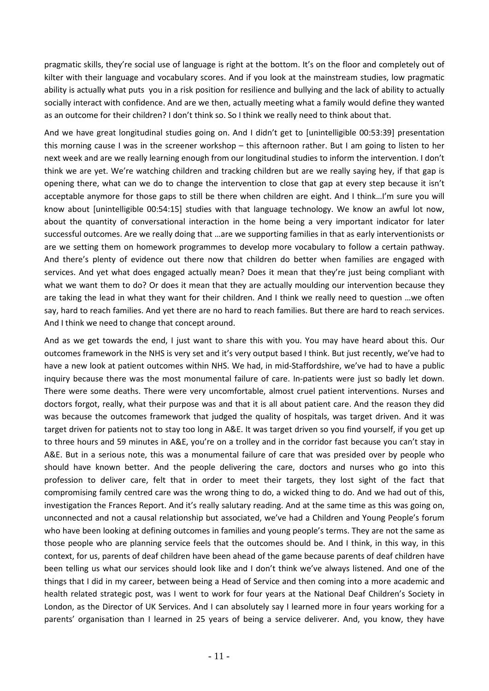pragmatic skills, they're social use of language is right at the bottom. It's on the floor and completely out of kilter with their language and vocabulary scores. And if you look at the mainstream studies, low pragmatic ability is actually what puts you in a risk position for resilience and bullying and the lack of ability to actually socially interact with confidence. And are we then, actually meeting what a family would define they wanted as an outcome for their children? I don't think so. So I think we really need to think about that.

And we have great longitudinal studies going on. And I didn't get to [unintelligible 00:53:39] presentation this morning cause I was in the screener workshop – this afternoon rather. But I am going to listen to her next week and are we really learning enough from our longitudinal studies to inform the intervention. I don't think we are yet. We're watching children and tracking children but are we really saying hey, if that gap is opening there, what can we do to change the intervention to close that gap at every step because it isn't acceptable anymore for those gaps to still be there when children are eight. And I think…I'm sure you will know about [unintelligible 00:54:15] studies with that language technology. We know an awful lot now, about the quantity of conversational interaction in the home being a very important indicator for later successful outcomes. Are we really doing that …are we supporting families in that as early interventionists or are we setting them on homework programmes to develop more vocabulary to follow a certain pathway. And there's plenty of evidence out there now that children do better when families are engaged with services. And yet what does engaged actually mean? Does it mean that they're just being compliant with what we want them to do? Or does it mean that they are actually moulding our intervention because they are taking the lead in what they want for their children. And I think we really need to question …we often say, hard to reach families. And yet there are no hard to reach families. But there are hard to reach services. And I think we need to change that concept around.

And as we get towards the end, I just want to share this with you. You may have heard about this. Our outcomes framework in the NHS is very set and it's very output based I think. But just recently, we've had to have a new look at patient outcomes within NHS. We had, in mid-Staffordshire, we've had to have a public inquiry because there was the most monumental failure of care. In-patients were just so badly let down. There were some deaths. There were very uncomfortable, almost cruel patient interventions. Nurses and doctors forgot, really, what their purpose was and that it is all about patient care. And the reason they did was because the outcomes framework that judged the quality of hospitals, was target driven. And it was target driven for patients not to stay too long in A&E. It was target driven so you find yourself, if you get up to three hours and 59 minutes in A&E, you're on a trolley and in the corridor fast because you can't stay in A&E. But in a serious note, this was a monumental failure of care that was presided over by people who should have known better. And the people delivering the care, doctors and nurses who go into this profession to deliver care, felt that in order to meet their targets, they lost sight of the fact that compromising family centred care was the wrong thing to do, a wicked thing to do. And we had out of this, investigation the Frances Report. And it's really salutary reading. And at the same time as this was going on, unconnected and not a causal relationship but associated, we've had a Children and Young People's forum who have been looking at defining outcomes in families and young people's terms. They are not the same as those people who are planning service feels that the outcomes should be. And I think, in this way, in this context, for us, parents of deaf children have been ahead of the game because parents of deaf children have been telling us what our services should look like and I don't think we've always listened. And one of the things that I did in my career, between being a Head of Service and then coming into a more academic and health related strategic post, was I went to work for four years at the National Deaf Children's Society in London, as the Director of UK Services. And I can absolutely say I learned more in four years working for a parents' organisation than I learned in 25 years of being a service deliverer. And, you know, they have